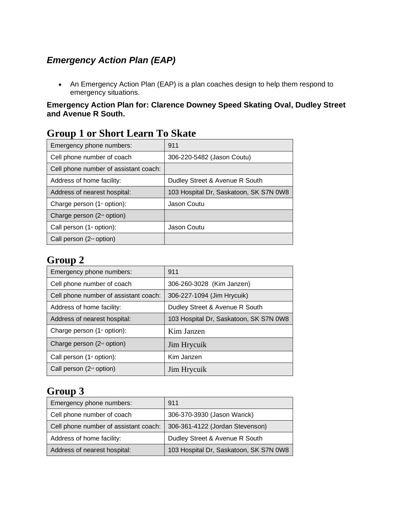## *Emergency Action Plan (EAP)*

• An Emergency Action Plan (EAP) is a plan coaches design to help them respond to emergency situations.

### **Emergency Action Plan for: Clarence Downey Speed Skating Oval, Dudley Street and Avenue R South.**

| STOUP I OF SHOTT LOAIN TO SKAIV         |                                        |
|-----------------------------------------|----------------------------------------|
| Emergency phone numbers:                | 911                                    |
| Cell phone number of coach              | 306-220-5482 (Jason Coutu)             |
| Cell phone number of assistant coach:   |                                        |
| Address of home facility:               | Dudley Street & Avenue R South         |
| Address of nearest hospital:            | 103 Hospital Dr, Saskatoon, SK S7N 0W8 |
| Charge person (1 <sup>st</sup> option): | Jason Coutu                            |
| Charge person $(2nd$ option)            |                                        |
| Call person $(1st$ option):             | Jason Coutu                            |
| Call person $(2^{nd}$ option)           |                                        |

# **Group 1 or Short Learn To Skate**

## **Group 2**

| Emergency phone numbers:                | 911                                    |
|-----------------------------------------|----------------------------------------|
| Cell phone number of coach              | 306-260-3028 (Kim Janzen)              |
| Cell phone number of assistant coach:   | 306-227-1094 (Jim Hrycuik)             |
| Address of home facility:               | Dudley Street & Avenue R South         |
| Address of nearest hospital:            | 103 Hospital Dr, Saskatoon, SK S7N 0W8 |
| Charge person (1 <sup>st</sup> option): | Kim Janzen                             |
| Charge person (2 <sup>nd</sup> option)  | Jim Hrycuik                            |
| Call person $(1st$ option):             | Kim Janzen                             |
| Call person $(2nd$ option)              | Jim Hrycuik                            |

# **Group 3**

| Emergency phone numbers:              | 911                                    |
|---------------------------------------|----------------------------------------|
| Cell phone number of coach            | 306-370-3930 (Jason Warick)            |
| Cell phone number of assistant coach: | 306-361-4122 (Jordan Stevenson)        |
| Address of home facility:             | Dudley Street & Avenue R South         |
| Address of nearest hospital:          | 103 Hospital Dr, Saskatoon, SK S7N 0W8 |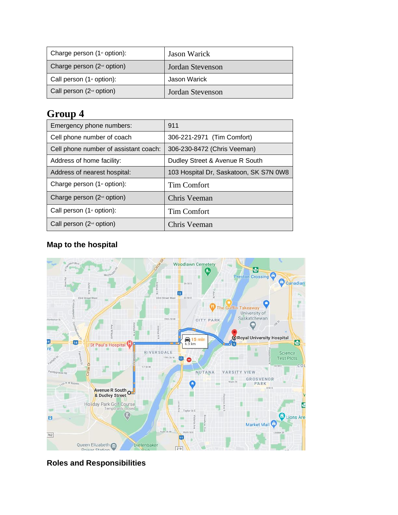| Charge person $(1$ <sup>st</sup> option): | Jason Warick     |
|-------------------------------------------|------------------|
| Charge person $(2^{nd}$ option)           | Jordan Stevenson |
| Call person $(1st$ option):               | Jason Warick     |
| Call person $(2^{nd}$ option)             | Jordan Stevenson |

# **Group 4**

| Emergency phone numbers:                  | 911                                    |
|-------------------------------------------|----------------------------------------|
| Cell phone number of coach                | 306-221-2971 (Tim Comfort)             |
| Cell phone number of assistant coach:     | 306-230-8472 (Chris Veeman)            |
| Address of home facility:                 | Dudley Street & Avenue R South         |
| Address of nearest hospital:              | 103 Hospital Dr, Saskatoon, SK S7N 0W8 |
| Charge person $(1$ <sup>st</sup> option): | <b>Tim Comfort</b>                     |
| Charge person $(2nd$ option)              | Chris Veeman                           |
| Call person $(1st$ option):               | <b>Tim Comfort</b>                     |
| Call person $(2^{nd}$ option)             | Chris Veeman                           |

### **Map to the hospital**



**Roles and Responsibilities**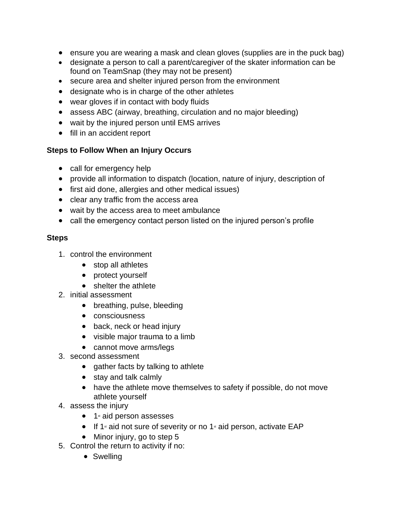- ensure you are wearing a mask and clean gloves (supplies are in the puck bag)
- designate a person to call a parent/caregiver of the skater information can be found on TeamSnap (they may not be present)
- secure area and shelter injured person from the environment
- designate who is in charge of the other athletes
- wear gloves if in contact with body fluids
- assess ABC (airway, breathing, circulation and no major bleeding)
- wait by the injured person until EMS arrives
- fill in an accident report

### **Steps to Follow When an Injury Occurs**

- call for emergency help
- provide all information to dispatch (location, nature of injury, description of
- first aid done, allergies and other medical issues)
- clear any traffic from the access area
- wait by the access area to meet ambulance
- call the emergency contact person listed on the injured person's profile

### **Steps**

- 1. control the environment
	- stop all athletes
	- protect yourself
	- shelter the athlete
- 2. initial assessment
	- breathing, pulse, bleeding
	- consciousness
	- back, neck or head injury
	- visible major trauma to a limb
	- cannot move arms/legs
- 3. second assessment
	- gather facts by talking to athlete
	- stay and talk calmly
	- have the athlete move themselves to safety if possible, do not move athlete yourself
- 4. assess the injury
	- $\bullet$  1 $\ast$  aid person assesses
	- $\bullet$  If 1<sup>st</sup> aid not sure of severity or no 1<sup>st</sup> aid person, activate EAP
	- Minor injury, go to step 5
- 5. Control the return to activity if no:
	- Swelling